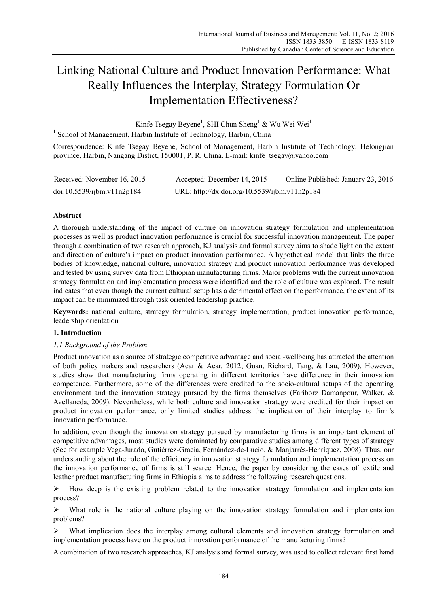# Linking National Culture and Product Innovation Performance: What Really Influences the Interplay, Strategy Formulation Or Implementation Effectiveness?

Kinfe Tsegay Beyene<sup>1</sup>, SHI Chun Sheng<sup>1</sup> & Wu Wei Wei<sup>1</sup>

<sup>1</sup> School of Management, Harbin Institute of Technology, Harbin, China

Correspondence: Kinfe Tsegay Beyene, School of Management, Harbin Institute of Technology, Helongjian province, Harbin, Nangang Distict, 150001, P. R. China. E-mail: kinfe\_tsegay@yahoo.com

| Received: November 16, 2015 | Accepted: December 14, 2015                   | Online Published: January 23, 2016 |
|-----------------------------|-----------------------------------------------|------------------------------------|
| doi:10.5539/ijbm.v11n2p184  | URL: http://dx.doi.org/10.5539/ijbm.v11n2p184 |                                    |

# **Abstract**

A thorough understanding of the impact of culture on innovation strategy formulation and implementation processes as well as product innovation performance is crucial for successful innovation management. The paper through a combination of two research approach, KJ analysis and formal survey aims to shade light on the extent and direction of culture's impact on product innovation performance. A hypothetical model that links the three bodies of knowledge, national culture, innovation strategy and product innovation performance was developed and tested by using survey data from Ethiopian manufacturing firms. Major problems with the current innovation strategy formulation and implementation process were identified and the role of culture was explored. The result indicates that even though the current cultural setup has a detrimental effect on the performance, the extent of its impact can be minimized through task oriented leadership practice.

**Keywords:** national culture, strategy formulation, strategy implementation, product innovation performance, leadership orientation

# **1. Introduction**

# *1.1 Background of the Problem*

Product innovation as a source of strategic competitive advantage and social-wellbeing has attracted the attention of both policy makers and researchers (Acar & Acar, 2012; Guan, Richard, Tang, & Lau, 2009). However, studies show that manufacturing firms operating in different territories have difference in their innovation competence. Furthermore, some of the differences were credited to the socio-cultural setups of the operating environment and the innovation strategy pursued by the firms themselves (Fariborz Damanpour, Walker, & Avellaneda, 2009). Nevertheless, while both culture and innovation strategy were credited for their impact on product innovation performance, only limited studies address the implication of their interplay to firm's innovation performance.

In addition, even though the innovation strategy pursued by manufacturing firms is an important element of competitive advantages, most studies were dominated by comparative studies among different types of strategy (See for example Vega-Jurado, Gutiérrez-Gracia, Fernández-de-Lucio, & Manjarrés-Henríquez, 2008). Thus, our understanding about the role of the efficiency in innovation strategy formulation and implementation process on the innovation performance of firms is still scarce. Hence, the paper by considering the cases of textile and leather product manufacturing firms in Ethiopia aims to address the following research questions.

 $\triangleright$  How deep is the existing problem related to the innovation strategy formulation and implementation process?

 $\triangleright$  What role is the national culture playing on the innovation strategy formulation and implementation problems?

 $\triangleright$  What implication does the interplay among cultural elements and innovation strategy formulation and implementation process have on the product innovation performance of the manufacturing firms?

A combination of two research approaches, KJ analysis and formal survey, was used to collect relevant first hand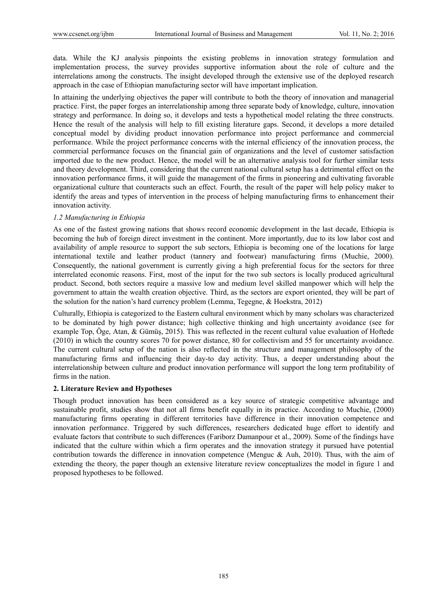data. While the KJ analysis pinpoints the existing problems in innovation strategy formulation and implementation process, the survey provides supportive information about the role of culture and the interrelations among the constructs. The insight developed through the extensive use of the deployed research approach in the case of Ethiopian manufacturing sector will have important implication.

In attaining the underlying objectives the paper will contribute to both the theory of innovation and managerial practice. First, the paper forges an interrelationship among three separate body of knowledge, culture, innovation strategy and performance. In doing so, it develops and tests a hypothetical model relating the three constructs. Hence the result of the analysis will help to fill existing literature gaps. Second, it develops a more detailed conceptual model by dividing product innovation performance into project performance and commercial performance. While the project performance concerns with the internal efficiency of the innovation process, the commercial performance focuses on the financial gain of organizations and the level of customer satisfaction imported due to the new product. Hence, the model will be an alternative analysis tool for further similar tests and theory development. Third, considering that the current national cultural setup has a detrimental effect on the innovation performance firms, it will guide the management of the firms in pioneering and cultivating favorable organizational culture that counteracts such an effect. Fourth, the result of the paper will help policy maker to identify the areas and types of intervention in the process of helping manufacturing firms to enhancement their innovation activity.

## *1.2 Manufacturing in Ethiopia*

As one of the fastest growing nations that shows record economic development in the last decade, Ethiopia is becoming the hub of foreign direct investment in the continent. More importantly, due to its low labor cost and availability of ample resource to support the sub sectors, Ethiopia is becoming one of the locations for large international textile and leather product (tannery and footwear) manufacturing firms (Muchie, 2000). Consequently, the national government is currently giving a high preferential focus for the sectors for three interrelated economic reasons. First, most of the input for the two sub sectors is locally produced agricultural product. Second, both sectors require a massive low and medium level skilled manpower which will help the government to attain the wealth creation objective. Third, as the sectors are export oriented, they will be part of the solution for the nation's hard currency problem (Lemma, Tegegne, & Hoekstra, 2012)

Culturally, Ethiopia is categorized to the Eastern cultural environment which by many scholars was characterized to be dominated by high power distance; high collective thinking and high uncertainty avoidance (see for example Top, Öge, Atan, & Gümüş, 2015). This was reflected in the recent cultural value evaluation of Hoftede (2010) in which the country scores 70 for power distance, 80 for collectivism and 55 for uncertainty avoidance. The current cultural setup of the nation is also reflected in the structure and management philosophy of the manufacturing firms and influencing their day-to day activity. Thus, a deeper understanding about the interrelationship between culture and product innovation performance will support the long term profitability of firms in the nation.

#### **2. Literature Review and Hypotheses**

Though product innovation has been considered as a key source of strategic competitive advantage and sustainable profit, studies show that not all firms benefit equally in its practice. According to Muchie, (2000) manufacturing firms operating in different territories have difference in their innovation competence and innovation performance. Triggered by such differences, researchers dedicated huge effort to identify and evaluate factors that contribute to such differences (Fariborz Damanpour et al., 2009). Some of the findings have indicated that the culture within which a firm operates and the innovation strategy it pursued have potential contribution towards the difference in innovation competence (Menguc & Auh, 2010). Thus, with the aim of extending the theory, the paper though an extensive literature review conceptualizes the model in figure 1 and proposed hypotheses to be followed.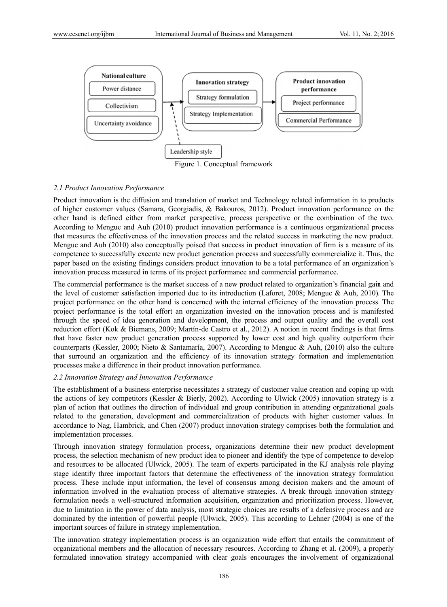

Figure 1. Conceptual framework

#### 2.1 Product Innovation Performance

Product innovation is the diffusion and translation of market and Technology related information in to products of higher customer values (Samara, Georgiadis, & Bakouros, 2012). Product innovation performance on the other hand is defined either from market perspective, process perspective or the combination of the two. According to Menguc and Auh (2010) product innovation performance is a continuous organizational process that measures the effectiveness of the innovation process and the related success in marketing the new product. Mengue and Auh (2010) also conceptually poised that success in product innovation of firm is a measure of its competence to successfully execute new product generation process and successfully commercialize it. Thus, the paper based on the existing findings considers product innovation to be a total performance of an organization's innovation process measured in terms of its project performance and commercial performance.

The commercial performance is the market success of a new product related to organization's financial gain and the level of customer satisfaction imported due to its introduction (Laforet, 2008; Menguc & Auh, 2010). The project performance on the other hand is concerned with the internal efficiency of the innovation process. The project performance is the total effort an organization invested on the innovation process and is manifested through the speed of idea generation and development, the process and output quality and the overall cost reduction effort (Kok & Biemans, 2009; Martín-de Castro et al., 2012). A notion in recent findings is that firms that have faster new product generation process supported by lower cost and high quality outperform their counterparts (Kessler, 2000; Nieto & Santamaría, 2007). According to Menguc & Auh, (2010) also the culture that surround an organization and the efficiency of its innovation strategy formation and implementation processes make a difference in their product innovation performance.

#### 2.2 Innovation Strategy and Innovation Performance

The establishment of a business enterprise necessitates a strategy of customer value creation and coping up with the actions of key competitors (Kessler & Bierly, 2002). According to Ulwick (2005) innovation strategy is a plan of action that outlines the direction of individual and group contribution in attending organizational goals related to the generation, development and commercialization of products with higher customer values. In accordance to Nag, Hambrick, and Chen (2007) product innovation strategy comprises both the formulation and implementation processes.

Through innovation strategy formulation process, organizations determine their new product development process, the selection mechanism of new product idea to pioneer and identify the type of competence to develop and resources to be allocated (Ulwick, 2005). The team of experts participated in the KJ analysis role playing stage identify three important factors that determine the effectiveness of the innovation strategy formulation process. These include input information, the level of consensus among decision makers and the amount of information involved in the evaluation process of alternative strategies. A break through innovation strategy formulation needs a well-structured information acquisition, organization and prioritization process. However, due to limitation in the power of data analysis, most strategic choices are results of a defensive process and are dominated by the intention of powerful people (Ulwick, 2005). This according to Lehner (2004) is one of the important sources of failure in strategy implementation.

The innovation strategy implementation process is an organization wide effort that entails the commitment of organizational members and the allocation of necessary resources. According to Zhang et al. (2009), a properly formulated innovation strategy accompanied with clear goals encourages the involvement of organizational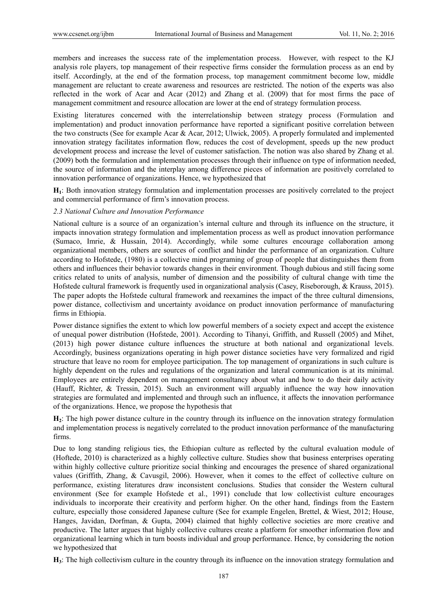members and increases the success rate of the implementation process. However, with respect to the KJ analysis role players, top management of their respective firms consider the formulation process as an end by itself. Accordingly, at the end of the formation process, top management commitment become low, middle management are reluctant to create awareness and resources are restricted. The notion of the experts was also reflected in the work of Acar and Acar (2012) and Zhang et al. (2009) that for most firms the pace of management commitment and resource allocation are lower at the end of strategy formulation process.

Existing literatures concerned with the interrelationship between strategy process (Formulation and implementation) and product innovation performance have reported a significant positive correlation between the two constructs (See for example Acar & Acar, 2012; Ulwick, 2005). A properly formulated and implemented innovation strategy facilitates information flow, reduces the cost of development, speeds up the new product development process and increase the level of customer satisfaction. The notion was also shared by Zhang et al. (2009) both the formulation and implementation processes through their influence on type of information needed, the source of information and the interplay among difference pieces of information are positively correlated to innovation performance of organizations. Hence, we hypothesized that

**H1**: Both innovation strategy formulation and implementation processes are positively correlated to the project and commercial performance of firm's innovation process.

## *2.3 National Culture and Innovation Performance*

National culture is a source of an organization's internal culture and through its influence on the structure, it impacts innovation strategy formulation and implementation process as well as product innovation performance (Sumaco, Imrie, & Hussain, 2014). Accordingly, while some cultures encourage collaboration among organizational members, others are sources of conflict and hinder the performance of an organization. Culture according to Hofstede, (1980) is a collective mind programing of group of people that distinguishes them from others and influences their behavior towards changes in their environment. Though dubious and still facing some critics related to units of analysis, number of dimension and the possibility of cultural change with time the Hofstede cultural framework is frequently used in organizational analysis (Casey, Riseborough, & Krauss, 2015). The paper adopts the Hofstede cultural framework and reexamines the impact of the three cultural dimensions, power distance, collectivism and uncertainty avoidance on product innovation performance of manufacturing firms in Ethiopia.

Power distance signifies the extent to which low powerful members of a society expect and accept the existence of unequal power distribution (Hofstede, 2001). According to Tihanyi, Griffith, and Russell (2005) and Mihet, (2013) high power distance culture influences the structure at both national and organizational levels. Accordingly, business organizations operating in high power distance societies have very formalized and rigid structure that leave no room for employee participation. The top management of organizations in such culture is highly dependent on the rules and regulations of the organization and lateral communication is at its minimal. Employees are entirely dependent on management consultancy about what and how to do their daily activity (Hauff, Richter, & Tressin, 2015). Such an environment will arguably influence the way how innovation strategies are formulated and implemented and through such an influence, it affects the innovation performance of the organizations. Hence, we propose the hypothesis that

**H2**: The high power distance culture in the country through its influence on the innovation strategy formulation and implementation process is negatively correlated to the product innovation performance of the manufacturing firms.

Due to long standing religious ties, the Ethiopian culture as reflected by the cultural evaluation module of (Hoftede, 2010) is characterized as a highly collective culture. Studies show that business enterprises operating within highly collective culture prioritize social thinking and encourages the presence of shared organizational values (Griffith, Zhang, & Cavusgil, 2006). However, when it comes to the effect of collective culture on performance, existing literatures draw inconsistent conclusions. Studies that consider the Western cultural environment (See for example Hofstede et al., 1991) conclude that low collectivist culture encourages individuals to incorporate their creativity and perform higher. On the other hand, findings from the Eastern culture, especially those considered Japanese culture (See for example Engelen, Brettel, & Wiest, 2012; House, Hanges, Javidan, Dorfman, & Gupta, 2004) claimed that highly collective societies are more creative and productive. The latter argues that highly collective cultures create a platform for smoother information flow and organizational learning which in turn boosts individual and group performance. Hence, by considering the notion we hypothesized that

**H3**: The high collectivism culture in the country through its influence on the innovation strategy formulation and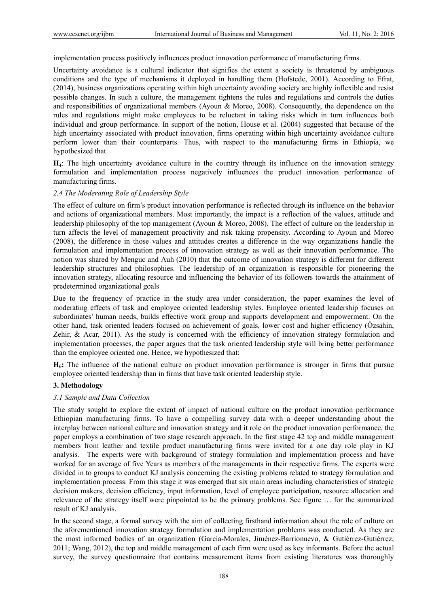implementation process positively influences product innovation performance of manufacturing firms.

Uncertainty avoidance is a cultural indicator that signifies the extent a society is threatened by ambiguous conditions and the type of mechanisms it deployed in handling them (Hofstede, 2001). According to Efrat, (2014), business organizations operating within high uncertainty avoiding society are highly inflexible and resist possible changes. In such a culture, the management tightens the rules and regulations and controls the duties and responsibilities of organizational members (Ayoun & Moreo, 2008). Consequently, the dependence on the rules and regulations might make employees to be reluctant in taking risks which in turn influences both individual and group performance. In support of the notion, House et al. (2004) suggested that because of the high uncertainty associated with product innovation, firms operating within high uncertainty avoidance culture perform lower than their counterparts. Thus, with respect to the manufacturing firms in Ethiopia, we hypothesized that

**H4**: The high uncertainty avoidance culture in the country through its influence on the innovation strategy formulation and implementation process negatively influences the product innovation performance of manufacturing firms.

## *2.4 The Moderating Role of Leadership Style*

The effect of culture on firm's product innovation performance is reflected through its influence on the behavior and actions of organizational members. Most importantly, the impact is a reflection of the values, attitude and leadership philosophy of the top management (Ayoun & Moreo, 2008). The effect of culture on the leadership in turn affects the level of management proactivity and risk taking propensity. According to Ayoun and Moreo (2008), the difference in those values and attitudes creates a difference in the way organizations handle the formulation and implementation process of innovation strategy as well as their innovation performance. The notion was shared by Menguc and Auh (2010) that the outcome of innovation strategy is different for different leadership structures and philosophies. The leadership of an organization is responsible for pioneering the innovation strategy, allocating resource and influencing the behavior of its followers towards the attainment of predetermined organizational goals

Due to the frequency of practice in the study area under consideration, the paper examines the level of moderating effects of task and employee oriented leadership styles. Employee oriented leadership focuses on subordinates' human needs, builds effective work group and supports development and empowerment. On the other hand, task oriented leaders focused on achievement of goals, lower cost and higher efficiency (Özsahin, Zehir,  $\&$  Acar, 2011). As the study is concerned with the efficiency of innovation strategy formulation and implementation processes, the paper argues that the task oriented leadership style will bring better performance than the employee oriented one. Hence, we hypothesized that:

**H6:** The influence of the national culture on product innovation performance is stronger in firms that pursue employee oriented leadership than in firms that have task oriented leadership style.

## **3. Methodology**

#### *3.1 Sample and Data Collection*

The study sought to explore the extent of impact of national culture on the product innovation performance Ethiopian manufacturing firms. To have a compelling survey data with a deeper understanding about the interplay between national culture and innovation strategy and it role on the product innovation performance, the paper employs a combination of two stage research approach. In the first stage 42 top and middle management members from leather and textile product manufacturing firms were invited for a one day role play in KJ analysis.The experts were with background of strategy formulation and implementation process and have worked for an average of five Years as members of the managements in their respective firms. The experts were divided in to groups to conduct KJ analysis concerning the existing problems related to strategy formulation and implementation process. From this stage it was emerged that six main areas including characteristics of strategic decision makers, decision efficiency, input information, level of employee participation, resource allocation and relevance of the strategy itself were pinpointed to be the primary problems. See figure … for the summarized result of KJ analysis.

In the second stage, a formal survey with the aim of collecting firsthand information about the role of culture on the aforementioned innovation strategy formulation and implementation problems was conducted. As they are the most informed bodies of an organization (García-Morales, Jiménez-Barrionuevo, & Gutiérrez-Gutiérrez, 2011; Wang, 2012), the top and middle management of each firm were used as key informants. Before the actual survey, the survey questionnaire that contains measurement items from existing literatures was thoroughly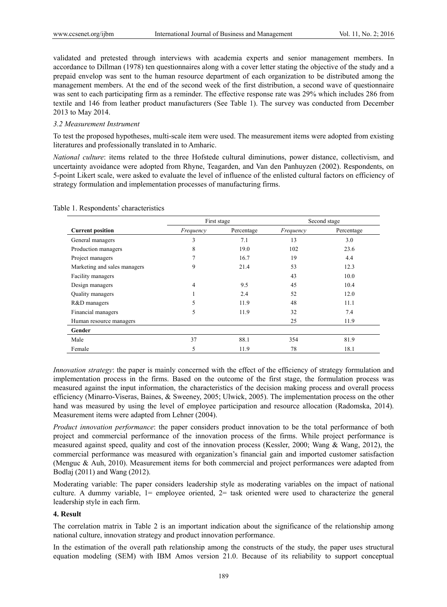validated and pretested through interviews with academia experts and senior management members. In accordance to Dillman (1978) ten questionnaires along with a cover letter stating the objective of the study and a prepaid envelop was sent to the human resource department of each organization to be distributed among the management members. At the end of the second week of the first distribution, a second wave of questionnaire was sent to each participating firm as a reminder. The effective response rate was 29% which includes 286 from textile and 146 from leather product manufacturers (See Table 1). The survey was conducted from December 2013 to May 2014.

#### *3.2 Measurement Instrument*

To test the proposed hypotheses, multi-scale item were used. The measurement items were adopted from existing literatures and professionally translated in to Amharic.

*National culture*: items related to the three Hofstede cultural diminutions, power distance, collectivism, and uncertainty avoidance were adopted from Rhyne, Teagarden, and Van den Panhuyzen (2002). Respondents, on 5-point Likert scale, were asked to evaluate the level of influence of the enlisted cultural factors on efficiency of strategy formulation and implementation processes of manufacturing firms.

|                              | First stage    |            | Second stage |            |  |  |
|------------------------------|----------------|------------|--------------|------------|--|--|
| <b>Current position</b>      | Frequency      | Percentage | Frequency    | Percentage |  |  |
| General managers             | 3              | 7.1        | 13           | 3.0        |  |  |
| Production managers          | 8              | 19.0       | 102          | 23.6       |  |  |
| Project managers             | $\overline{7}$ | 16.7       | 19           | 4.4        |  |  |
| Marketing and sales managers | 9              | 21.4       | 53           | 12.3       |  |  |
| Facility managers            |                |            | 43           | 10.0       |  |  |
| Design managers              | 4              | 9.5        | 45           | 10.4       |  |  |
| Quality managers             |                | 2.4        | 52           | 12.0       |  |  |
| R&D managers                 | 5              | 11.9       | 48           | 11.1       |  |  |
| Financial managers           | 5              | 11.9       | 32           | 7.4        |  |  |
| Human resource managers      |                |            | 25           | 11.9       |  |  |
| Gender                       |                |            |              |            |  |  |
| Male                         | 37             | 88.1       | 354          | 81.9       |  |  |
| Female                       | 5              | 11.9       | 78           | 18.1       |  |  |

#### Table 1. Respondents' characteristics

*Innovation strategy*: the paper is mainly concerned with the effect of the efficiency of strategy formulation and implementation process in the firms. Based on the outcome of the first stage, the formulation process was measured against the input information, the characteristics of the decision making process and overall process efficiency (Minarro-Viseras, Baines, & Sweeney, 2005; Ulwick, 2005). The implementation process on the other hand was measured by using the level of employee participation and resource allocation (Radomska, 2014). Measurement items were adapted from Lehner (2004).

*Product innovation performance*: the paper considers product innovation to be the total performance of both project and commercial performance of the innovation process of the firms. While project performance is measured against speed, quality and cost of the innovation process (Kessler, 2000; Wang & Wang, 2012), the commercial performance was measured with organization's financial gain and imported customer satisfaction (Menguc & Auh, 2010). Measurement items for both commercial and project performances were adapted from Bodlaj (2011) and Wang (2012).

Moderating variable: The paper considers leadership style as moderating variables on the impact of national culture. A dummy variable, 1= employee oriented, 2= task oriented were used to characterize the general leadership style in each firm.

### **4. Result**

The correlation matrix in Table 2 is an important indication about the significance of the relationship among national culture, innovation strategy and product innovation performance.

In the estimation of the overall path relationship among the constructs of the study, the paper uses structural equation modeling (SEM) with IBM Amos version 21.0. Because of its reliability to support conceptual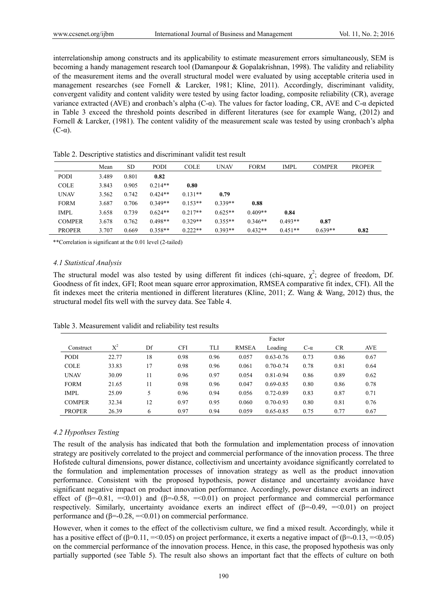interrelationship among constructs and its applicability to estimate measurement errors simultaneously, SEM is becoming a handy management research tool (Damanpour & Gopalakrishnan, 1998). The validity and reliability of the measurement items and the overall structural model were evaluated by using acceptable criteria used in management researches (see Fornell & Larcker, 1981; Kline, 2011). Accordingly, discriminant validity, convergent validity and content validity were tested by using factor loading, composite reliability (CR), average variance extracted (AVE) and cronbach's alpha (C-α). The values for factor loading, CR, AVE and C-α depicted in Table 3 exceed the threshold points described in different literatures (see for example Wang, (2012) and Fornell & Larcker, (1981). The content validity of the measurement scale was tested by using cronbach's alpha  $(C-\alpha)$ .

|               | Mean  | <b>SD</b> | <b>PODI</b> | <b>COLE</b> | <b>UNAV</b> | <b>FORM</b> | <b>IMPL</b> | <b>COMPER</b> | <b>PROPER</b> |
|---------------|-------|-----------|-------------|-------------|-------------|-------------|-------------|---------------|---------------|
| <b>PODI</b>   | 3.489 | 0.801     | 0.82        |             |             |             |             |               |               |
| <b>COLE</b>   | 3.843 | 0.905     | $0.214**$   | 0.80        |             |             |             |               |               |
| <b>UNAV</b>   | 3.562 | 0.742     | $0.424**$   | $0.131**$   | 0.79        |             |             |               |               |
| <b>FORM</b>   | 3.687 | 0.706     | $0.349**$   | $0.153**$   | $0.339**$   | 0.88        |             |               |               |
| <b>IMPL</b>   | 3.658 | 0.739     | $0.624**$   | $0.217**$   | $0.625**$   | $0.409**$   | 0.84        |               |               |
| <b>COMPER</b> | 3.678 | 0.762     | $0.498**$   | $0.329**$   | $0.355**$   | $0.346**$   | $0.493**$   | 0.87          |               |
| <b>PROPER</b> | 3.707 | 0.669     | $0.358**$   | $0.222**$   | $0.393**$   | $0.432**$   | $0.451**$   | $0.639**$     | 0.82          |

| Table 2. Descriptive statistics and discriminant validit test result |  |
|----------------------------------------------------------------------|--|
|----------------------------------------------------------------------|--|

\*\*Correlation is significant at the 0.01 level (2-tailed)

## *4.1 Statistical Analysis*

The structural model was also tested by using different fit indices (chi-square,  $\chi^2$ ; degree of freedom, Df. Goodness of fit index, GFI; Root mean square error approximation, RMSEA comparative fit index, CFI). All the fit indexes meet the criteria mentioned in different literatures (Kline, 2011; Z. Wang & Wang, 2012) thus, the structural model fits well with the survey data. See Table 4.

|               |                | Factor |            |      |              |               |            |           |            |
|---------------|----------------|--------|------------|------|--------------|---------------|------------|-----------|------------|
| Construct     | $\mathrm{X}^2$ | Df     | <b>CFI</b> | TLI  | <b>RMSEA</b> | Loading       | $C-\alpha$ | <b>CR</b> | <b>AVE</b> |
| PODI          | 22.77          | 18     | 0.98       | 0.96 | 0.057        | $0.63 - 0.76$ | 0.73       | 0.86      | 0.67       |
| <b>COLE</b>   | 33.83          | 17     | 0.98       | 0.96 | 0.061        | $0.70 - 0.74$ | 0.78       | 0.81      | 0.64       |
| <b>UNAV</b>   | 30.09          |        | 0.96       | 0.97 | 0.054        | $0.81 - 0.94$ | 0.86       | 0.89      | 0.62       |
| <b>FORM</b>   | 21.65          | 11     | 0.98       | 0.96 | 0.047        | $0.69 - 0.85$ | 0.80       | 0.86      | 0.78       |
| <b>IMPL</b>   | 25.09          | 5      | 0.96       | 0.94 | 0.056        | $0.72 - 0.89$ | 0.83       | 0.87      | 0.71       |
| <b>COMPER</b> | 32.34          | 12     | 0.97       | 0.95 | 0.060        | $0.70 - 0.93$ | 0.80       | 0.81      | 0.76       |
| <b>PROPER</b> | 26.39          | 6      | 0.97       | 0.94 | 0.059        | $0.65 - 0.85$ | 0.75       | 0.77      | 0.67       |

Table 3. Measurement validit and reliability test results

#### *4.2 Hypothses Testing*

The result of the analysis has indicated that both the formulation and implementation process of innovation strategy are positively correlated to the project and commercial performance of the innovation process. The three Hofstede cultural dimensions, power distance, collectivism and uncertainty avoidance significantly correlated to the formulation and implementation processes of innovation strategy as well as the product innovation performance. Consistent with the proposed hypothesis, power distance and uncertainty avoidance have significant negative impact on product innovation performance. Accordingly, power distance exerts an indirect effect of ( $\beta$ =-0.81, =<0.01) and ( $\beta$ =-0.58, =<0.01) on project performance and commercial performance respectively. Similarly, uncertainty avoidance exerts an indirect effect of  $(\beta = -0.49, \gamma = 0.01)$  on project performance and  $(\beta = 0.28, = 0.01)$  on commercial performance.

However, when it comes to the effect of the collectivism culture, we find a mixed result. Accordingly, while it has a positive effect of ( $\beta$ =0.11, =<0.05) on project performance, it exerts a negative impact of ( $\beta$ =-0.13, =<0.05) on the commercial performance of the innovation process. Hence, in this case, the proposed hypothesis was only partially supported (see Table 5). The result also shows an important fact that the effects of culture on both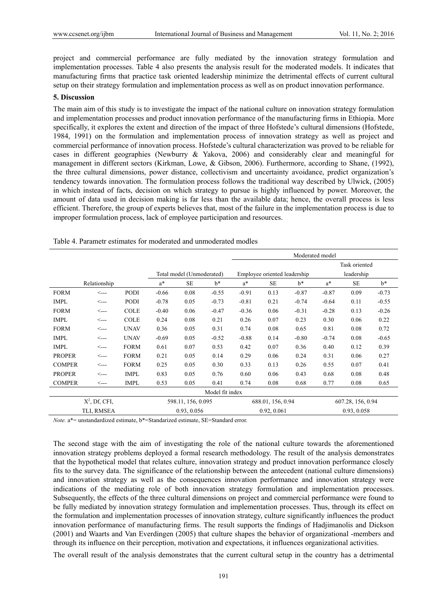project and commercial performance are fully mediated by the innovation strategy formulation and implementation processes. Table 4 also presents the analysis result for the moderated models. It indicates that manufacturing firms that practice task oriented leadership minimize the detrimental effects of current cultural setup on their strategy formulation and implementation process as well as on product innovation performance.

#### **5. Discussion**

The main aim of this study is to investigate the impact of the national culture on innovation strategy formulation and implementation processes and product innovation performance of the manufacturing firms in Ethiopia. More specifically, it explores the extent and direction of the impact of three Hofstede's cultural dimensions (Hofstede, 1984, 1991) on the formulation and implementation process of innovation strategy as well as project and commercial performance of innovation process. Hofstede's cultural characterization was proved to be reliable for cases in different geographies (Newburry & Yakova, 2006) and considerably clear and meaningful for management in different sectors (Kirkman, Lowe, & Gibson, 2006). Furthermore, according to Shane, (1992), the three cultural dimensions, power distance, collectivism and uncertainty avoidance, predict organization's tendency towards innovation. The formulation process follows the traditional way described by Ulwick, (2005) in which instead of facts, decision on which strategy to pursue is highly influenced by power. Moreover, the amount of data used in decision making is far less than the available data; hence, the overall process is less efficient. Therefore, the group of experts believes that, most of the failure in the implementation process is due to improper formulation process, lack of employee participation and resources.

|                 |                  |                     |           |                           |         | Moderated model |                              |         |           |                   |         |  |  |
|-----------------|------------------|---------------------|-----------|---------------------------|---------|-----------------|------------------------------|---------|-----------|-------------------|---------|--|--|
|                 |                  |                     |           |                           |         | Task oriented   |                              |         |           |                   |         |  |  |
|                 |                  |                     |           | Total model (Unmoderated) |         |                 | Employee oriented leadership |         |           | leadership        |         |  |  |
|                 | Relationship     | $a^*$               | <b>SE</b> | $h^*$                     | $a^*$   | <b>SE</b>       | $h^*$                        | a*      | <b>SE</b> | $h^*$             |         |  |  |
| <b>FORM</b>     | $\leftarrow$     | PODI                | $-0.66$   | 0.08                      | $-0.55$ | $-0.91$         | 0.13                         | $-0.87$ | $-0.87$   | 0.09              | $-0.73$ |  |  |
| <b>IMPL</b>     | $\leftarrow$ --  | PODI                | $-0.78$   | 0.05                      | $-0.73$ | $-0.81$         | 0.21                         | $-0.74$ | $-0.64$   | 0.11              | $-0.55$ |  |  |
| <b>FORM</b>     | $\leftarrow$     | <b>COLE</b>         | $-0.40$   | 0.06                      | $-0.47$ | $-0.36$         | 0.06                         | $-0.31$ | $-0.28$   | 0.13              | $-0.26$ |  |  |
| <b>IMPL</b>     | <---             | <b>COLE</b>         | 0.24      | 0.08                      | 0.21    | 0.26            | 0.07                         | 0.23    | 0.30      | 0.06              | 0.22    |  |  |
| <b>FORM</b>     | $\leftarrow$     | <b>UNAV</b>         | 0.36      | 0.05                      | 0.31    | 0.74            | 0.08                         | 0.65    | 0.81      | 0.08              | 0.72    |  |  |
| <b>IMPL</b>     | $\leftarrow$     | <b>UNAV</b>         | $-0.69$   | 0.05                      | $-0.52$ | $-0.88$         | 0.14                         | $-0.80$ | $-0.74$   | 0.08              | $-0.65$ |  |  |
| <b>IMPL</b>     | <---             | <b>FORM</b>         | 0.61      | 0.07                      | 0.53    | 0.42            | 0.07                         | 0.36    | 0.40      | 0.12              | 0.39    |  |  |
| <b>PROPER</b>   | $\leftarrow$     | <b>FORM</b>         | 0.21      | 0.05                      | 0.14    | 0.29            | 0.06                         | 0.24    | 0.31      | 0.06              | 0.27    |  |  |
| <b>COMPER</b>   | $\leftarrow$     | <b>FORM</b>         | 0.25      | 0.05                      | 0.30    | 0.33            | 0.13                         | 0.26    | 0.55      | 0.07              | 0.41    |  |  |
| <b>PROPER</b>   | <---             | <b>IMPL</b>         | 0.83      | 0.05                      | 0.76    | 0.60            | 0.06                         | 0.43    | 0.68      | 0.08              | 0.48    |  |  |
| <b>COMPER</b>   | <---             | <b>IMPL</b><br>0.53 |           | 0.05                      | 0.41    | 0.74            | 0.08                         | 0.68    | 0.77      | 0.08              | 0.65    |  |  |
| Model fit index |                  |                     |           |                           |         |                 |                              |         |           |                   |         |  |  |
|                 | $X^2$ , Df, CFI, |                     |           | 598.11, 156, 0.095        |         |                 | 688.01, 156, 0.94            |         |           | 607.28, 156, 0.94 |         |  |  |
|                 | TLI, RMSEA       |                     |           | 0.93, 0.056               |         |                 | 0.92, 0.061                  |         |           | 0.93, 0.058       |         |  |  |

| Table 4. Parametr estimates for moderated and unmoderated modles |
|------------------------------------------------------------------|
|------------------------------------------------------------------|

*Note.* a\*= unstandardized estimate, b\*=Standarized estimate, SE=Standard error.

The second stage with the aim of investigating the role of the national culture towards the aforementioned innovation strategy problems deployed a formal research methodology. The result of the analysis demonstrates that the hypothetical model that relates culture, innovation strategy and product innovation performance closely fits to the survey data. The significance of the relationship between the antecedent (national culture dimensions) and innovation strategy as well as the consequences innovation performance and innovation strategy were indications of the mediating role of both innovation strategy formulation and implementation processes. Subsequently, the effects of the three cultural dimensions on project and commercial performance were found to be fully mediated by innovation strategy formulation and implementation processes. Thus, through its effect on the formulation and implementation processes of innovation strategy, culture significantly influences the product innovation performance of manufacturing firms. The result supports the findings of Hadjimanolis and Dickson (2001) and Waarts and Van Everdingen (2005) that culture shapes the behavior of organizational -members and through its influence on their perception, motivation and expectations, it influences organizational activities.

The overall result of the analysis demonstrates that the current cultural setup in the country has a detrimental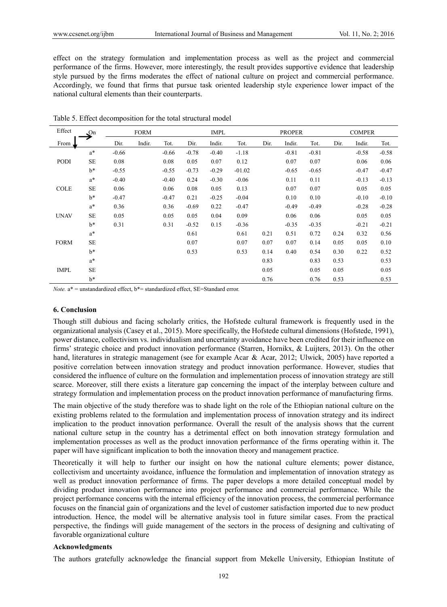effect on the strategy formulation and implementation process as well as the project and commercial performance of the firms. However, more interestingly, the result provides supportive evidence that leadership style pursued by the firms moderates the effect of national culture on project and commercial performance. Accordingly, we found that firms that pursue task oriented leadership style experience lower impact of the national cultural elements than their counterparts.

| Effect      | $\mathcal{O}$ n | <b>FORM</b> |        |         |         | <b>IMPL</b> |          |      | <b>PROPER</b> |         |      | <b>COMPER</b> |         |  |
|-------------|-----------------|-------------|--------|---------|---------|-------------|----------|------|---------------|---------|------|---------------|---------|--|
| From,       |                 | Dir.        | Indir. | Tot.    | Dir.    | Indir.      | Tot.     | Dir. | Indir.        | Tot.    | Dir. | Indir.        | Tot.    |  |
|             | $a^*$           | $-0.66$     |        | $-0.66$ | $-0.78$ | $-0.40$     | $-1.18$  |      | $-0.81$       | $-0.81$ |      | $-0.58$       | $-0.58$ |  |
| PODI        | <b>SE</b>       | 0.08        |        | 0.08    | 0.05    | 0.07        | 0.12     |      | 0.07          | 0.07    |      | 0.06          | 0.06    |  |
|             | $h^*$           | $-0.55$     |        | $-0.55$ | $-0.73$ | $-0.29$     | $-01.02$ |      | $-0.65$       | $-0.65$ |      | $-0.47$       | $-0.47$ |  |
|             | $a^*$           | $-0.40$     |        | $-0.40$ | 0.24    | $-0.30$     | $-0.06$  |      | 0.11          | 0.11    |      | $-0.13$       | $-0.13$ |  |
| <b>COLE</b> | SE              | 0.06        |        | 0.06    | 0.08    | 0.05        | 0.13     |      | 0.07          | 0.07    |      | 0.05          | 0.05    |  |
|             | $h^*$           | $-0.47$     |        | $-0.47$ | 0.21    | $-0.25$     | $-0.04$  |      | 0.10          | 0.10    |      | $-0.10$       | $-0.10$ |  |
|             | $a^*$           | 0.36        |        | 0.36    | $-0.69$ | 0.22        | $-0.47$  |      | $-0.49$       | $-0.49$ |      | $-0.28$       | $-0.28$ |  |
| <b>UNAV</b> | <b>SE</b>       | 0.05        |        | 0.05    | 0.05    | 0.04        | 0.09     |      | 0.06          | 0.06    |      | 0.05          | 0.05    |  |
|             | $h^*$           | 0.31        |        | 0.31    | $-0.52$ | 0.15        | $-0.36$  |      | $-0.35$       | $-0.35$ |      | $-0.21$       | $-0.21$ |  |
|             | $a^*$           |             |        |         | 0.61    |             | 0.61     | 0.21 | 0.51          | 0.72    | 0.24 | 0.32          | 0.56    |  |
| <b>FORM</b> | <b>SE</b>       |             |        |         | 0.07    |             | 0.07     | 0.07 | 0.07          | 0.14    | 0.05 | 0.05          | 0.10    |  |
|             | $h^*$           |             |        |         | 0.53    |             | 0.53     | 0.14 | 0.40          | 0.54    | 0.30 | 0.22          | 0.52    |  |
|             | $a^*$           |             |        |         |         |             |          | 0.83 |               | 0.83    | 0.53 |               | 0.53    |  |
| <b>IMPL</b> | SE              |             |        |         |         |             |          | 0.05 |               | 0.05    | 0.05 |               | 0.05    |  |
|             | $h^*$           |             |        |         |         |             |          | 0.76 |               | 0.76    | 0.53 |               | 0.53    |  |

Table 5. Effect decomposition for the total structural model

*Note.*  $a^*$  = unstandardized effect,  $b^*$  = standardized effect, SE=Standard error.

#### **6. Conclusion**

Though still dubious and facing scholarly critics, the Hofstede cultural framework is frequently used in the organizational analysis (Casey et al., 2015). More specifically, the Hofstede cultural dimensions (Hofstede, 1991), power distance, collectivism vs. individualism and uncertainty avoidance have been credited for their influence on firms' strategic choice and product innovation performance (Starren, Hornikx, & Luijters, 2013). On the other hand, literatures in strategic management (see for example Acar & Acar, 2012; Ulwick, 2005) have reported a positive correlation between innovation strategy and product innovation performance. However, studies that considered the influence of culture on the formulation and implementation process of innovation strategy are still scarce. Moreover, still there exists a literature gap concerning the impact of the interplay between culture and strategy formulation and implementation process on the product innovation performance of manufacturing firms.

The main objective of the study therefore was to shade light on the role of the Ethiopian national culture on the existing problems related to the formulation and implementation process of innovation strategy and its indirect implication to the product innovation performance. Overall the result of the analysis shows that the current national culture setup in the country has a detrimental effect on both innovation strategy formulation and implementation processes as well as the product innovation performance of the firms operating within it. The paper will have significant implication to both the innovation theory and management practice.

Theoretically it will help to further our insight on how the national culture elements; power distance, collectivism and uncertainty avoidance, influence the formulation and implementation of innovation strategy as well as product innovation performance of firms. The paper develops a more detailed conceptual model by dividing product innovation performance into project performance and commercial performance. While the project performance concerns with the internal efficiency of the innovation process, the commercial performance focuses on the financial gain of organizations and the level of customer satisfaction imported due to new product introduction. Hence, the model will be alternative analysis tool in future similar cases. From the practical perspective, the findings will guide management of the sectors in the process of designing and cultivating of favorable organizational culture

## **Acknowledgments**

The authors gratefully acknowledge the financial support from Mekelle University, Ethiopian Institute of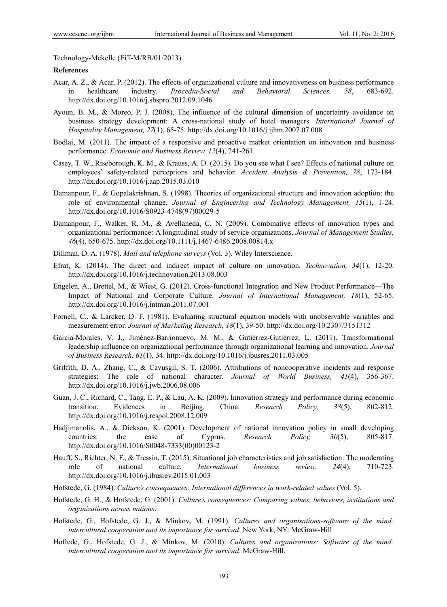Technology-Mekelle (EiT-M/RB/01/2013).

## **References**

- Acar, A. Z., & Acar, P. (2012). The effects of organizational culture and innovativeness on business performance in healthcare industry. *Procedia-Social and Behavioral Sciences, 58*, 683-692. http://dx.doi.org/10.1016/j.sbspro.2012.09.1046
- Ayoun, B. M., & Moreo, P. J. (2008). The influence of the cultural dimension of uncertainty avoidance on business strategy development: A cross-national study of hotel managers. *International Journal of Hospitality Management, 27*(1), 65-75. http://dx.doi.org/10.1016/j.ijhm.2007.07.008
- Bodlaj, M. (2011). The impact of a responsive and proactive market orientation on innovation and business performance. *Economic and Business Review, 12*(4), 241-261.
- Casey, T. W., Riseborough, K. M., & Krauss, A. D. (2015). Do you see what I see? Effects of national culture on employees' safety-related perceptions and behavior. *Accident Analysis & Prevention, 78*, 173-184. http://dx.doi.org/10.1016/j.aap.2015.03.010
- Damanpour, F., & Gopalakrishnan, S. (1998). Theories of organizational structure and innovation adoption: the role of environmental change. *Journal of Engineering and Technology Management, 15*(1), 1-24. http://dx.doi.org/10.1016/S0923-4748(97)00029-5
- Damanpour, F., Walker, R. M., & Avellaneda, C. N. (2009). Combinative effects of innovation types and organizational performance: A longitudinal study of service organizations. *Journal of Management Studies, 46*(4), 650-675. http://dx.doi.org/10.1111/j.1467-6486.2008.00814.x
- Dillman, D. A. (1978). *Mail and telephone surveys* (Vol. 3). Wiley Interscience.
- Efrat, K. (2014). The direct and indirect impact of culture on innovation. *Technovation, 34*(1), 12-20. http://dx.doi.org/10.1016/j.technovation.2013.08.003
- Engelen, A., Brettel, M., & Wiest, G. (2012). Cross-functional Integration and New Product Performance—The Impact of National and Corporate Culture. *Journal of International Management, 18*(1), 52-65. http://dx.doi.org/10.1016/j.intman.2011.07.001
- Fornell, C., & Larcker, D. F. (1981). Evaluating structural equation models with unobservable variables and measurement error. *Journal of Marketing Research, 18*(1), 39-50. http://dx.doi.org/10.2307/3151312
- García-Morales, V. J., Jiménez-Barrionuevo, M. M., & Gutiérrez-Gutiérrez, L. (2011). Transformational leadership influence on organizational performance through organizational learning and innovation. *Journal of Business Research, 61*(1), 34. http://dx.doi.org/10.1016/j.jbusres.2011.03.005
- Griffith, D. A., Zhang, C., & Cavusgil, S. T. (2006). Attributions of noncooperative incidents and response strategies: The role of national character. *Journal of World Business, 41*(4), 356-367. http://dx.doi.org/10.1016/j.jwb.2006.08.006
- Guan, J. C., Richard, C., Tang, E. P., & Lau, A. K. (2009). Innovation strategy and performance during economic transition: Evidences in Beijing, China. *Research Policy, 38*(5), 802-812. http://dx.doi.org/10.1016/j.respol.2008.12.009
- Hadjimanolis, A., & Dickson, K. (2001). Development of national innovation policy in small developing countries: the case of Cyprus. *Research Policy, 30*(5), 805-817. http://dx.doi.org/10.1016/S0048-7333(00)00123-2
- Hauff, S., Richter, N. F., & Tressin, T. (2015). Situational job characteristics and job satisfaction: The moderating role of national culture. *International business review, 24*(4), 710-723. http://dx.doi.org/10.1016/j.ibusrev.2015.01.003
- Hofstede, G. (1984). *Culture's consequences: International differences in work-related values* (Vol. 5).
- Hofstede, G. H., & Hofstede, G. (2001). *Culture's consequences: Comparing values, behaviors, institutions and organizations across nations*.
- Hofstede, G., Hofstede, G. J., & Minkov, M. (1991). *Cultures and organisations-software of the mind: intercultural cooperation and its importance for survival*. New York, NY: McGraw-Hill
- Hoftede, G., Hofstede, G. J., & Minkov, M. (2010). *Cultures and organizations: Software of the mind: intercultural cooperation and its importance for survival*. McGraw-Hill.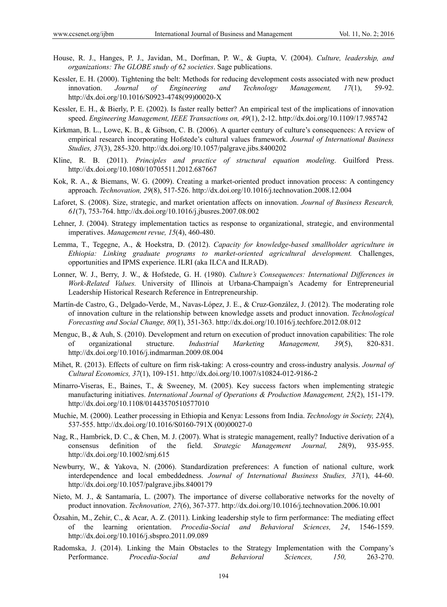- House, R. J., Hanges, P. J., Javidan, M., Dorfman, P. W., & Gupta, V. (2004). *Culture, leadership, and organizations: The GLOBE study of 62 societies*. Sage publications.
- Kessler, E. H. (2000). Tightening the belt: Methods for reducing development costs associated with new product innovation. *Journal of Engineering and Technology Management, 17*(1), 59-92. http://dx.doi.org/10.1016/S0923-4748(99)00020-X
- Kessler, E. H., & Bierly, P. E. (2002). Is faster really better? An empirical test of the implications of innovation speed. *Engineering Management, IEEE Transactions on, 49*(1), 2-12. http://dx.doi.org/10.1109/17.985742
- Kirkman, B. L., Lowe, K. B., & Gibson, C. B. (2006). A quarter century of culture's consequences: A review of empirical research incorporating Hofstede's cultural values framework. *Journal of International Business Studies, 37*(3), 285-320. http://dx.doi.org/10.1057/palgrave.jibs.8400202
- Kline, R. B. (2011). *Principles and practice of structural equation modeling*. Guilford Press. http://dx.doi.org/10.1080/10705511.2012.687667
- Kok, R. A., & Biemans, W. G. (2009). Creating a market-oriented product innovation process: A contingency approach. *Technovation, 29*(8), 517-526. http://dx.doi.org/10.1016/j.technovation.2008.12.004
- Laforet, S. (2008). Size, strategic, and market orientation affects on innovation. *Journal of Business Research, 61*(7), 753-764. http://dx.doi.org/10.1016/j.jbusres.2007.08.002
- Lehner, J. (2004). Strategy implementation tactics as response to organizational, strategic, and environmental imperatives. *Management revue, 15*(4), 460-480.
- Lemma, T., Tegegne, A., & Hoekstra, D. (2012). *Capacity for knowledge-based smallholder agriculture in Ethiopia: Linking graduate programs to market-oriented agricultural development.* Challenges, opportunities and IPMS experience. ILRI (aka ILCA and ILRAD).
- Lonner, W. J., Berry, J. W., & Hofstede, G. H. (1980). *Culture's Consequences: International Differences in Work-Related Values.* University of Illinois at Urbana-Champaign's Academy for Entrepreneurial Leadership Historical Research Reference in Entrepreneurship.
- Martín-de Castro, G., Delgado-Verde, M., Navas-López, J. E., & Cruz-González, J. (2012). The moderating role of innovation culture in the relationship between knowledge assets and product innovation. *Technological Forecasting and Social Change, 80*(1), 351-363. http://dx.doi.org/10.1016/j.techfore.2012.08.012
- Menguc, B., & Auh, S. (2010). Development and return on execution of product innovation capabilities: The role of organizational structure. *Industrial Marketing Management, 39*(5), 820-831. http://dx.doi.org/10.1016/j.indmarman.2009.08.004
- Mihet, R. (2013). Effects of culture on firm risk-taking: A cross-country and cross-industry analysis. *Journal of Cultural Economics, 37*(1), 109-151. http://dx.doi.org/10.1007/s10824-012-9186-2
- Minarro-Viseras, E., Baines, T., & Sweeney, M. (2005). Key success factors when implementing strategic manufacturing initiatives. *International Journal of Operations & Production Management, 25*(2), 151-179. http://dx.doi.org/10.1108/01443570510577010
- Muchie, M. (2000). Leather processing in Ethiopia and Kenya: Lessons from India. *Technology in Society, 22*(4), 537-555. http://dx.doi.org/10.1016/S0160-791X (00)00027-0
- Nag, R., Hambrick, D. C., & Chen, M. J. (2007). What is strategic management, really? Inductive derivation of a consensus definition of the field. *Strategic Management Journal, 28*(9), 935-955. http://dx.doi.org/10.1002/smj.615
- Newburry, W., & Yakova, N. (2006). Standardization preferences: A function of national culture, work interdependence and local embeddedness. *Journal of International Business Studies, 37*(1), 44-60. http://dx.doi.org/10.1057/palgrave.jibs.8400179
- Nieto, M. J., & Santamaría, L. (2007). The importance of diverse collaborative networks for the novelty of product innovation. *Technovation, 27*(6), 367-377. http://dx.doi.org/10.1016/j.technovation.2006.10.001
- Özsahin, M., Zehir, C., & Acar, A. Z. (2011). Linking leadership style to firm performance: The mediating effect of the learning orientation. *Procedia-Social and Behavioral Sciences, 24*, 1546-1559. http://dx.doi.org/10.1016/j.sbspro.2011.09.089
- Radomska, J. (2014). Linking the Main Obstacles to the Strategy Implementation with the Company's Performance. *Procedia-Social and Behavioral Sciences, 150,* 263-270.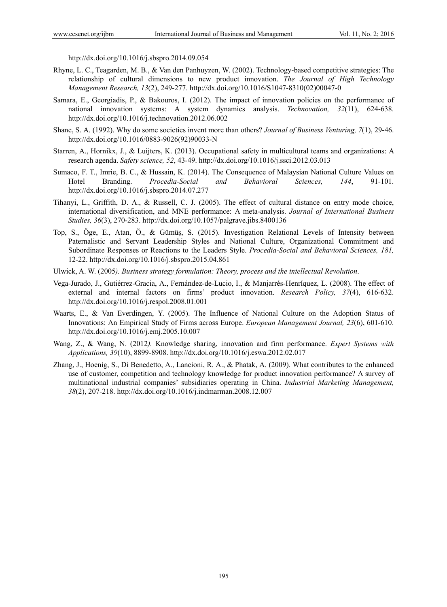http://dx.doi.org/10.1016/j.sbspro.2014.09.054

- Rhyne, L. C., Teagarden, M. B., & Van den Panhuyzen, W. (2002). Technology-based competitive strategies: The relationship of cultural dimensions to new product innovation. *The Journal of High Technology Management Research, 13*(2), 249-277. http://dx.doi.org/10.1016/S1047-8310(02)00047-0
- Samara, E., Georgiadis, P., & Bakouros, I. (2012). The impact of innovation policies on the performance of national innovation systems: A system dynamics analysis. *Technovation, 32*(11), 624-638. http://dx.doi.org/10.1016/j.technovation.2012.06.002
- Shane, S. A. (1992). Why do some societies invent more than others? *Journal of Business Venturing, 7*(1), 29-46. http://dx.doi.org/10.1016/0883-9026(92)90033-N
- Starren, A., Hornikx, J., & Luijters, K. (2013). Occupational safety in multicultural teams and organizations: A research agenda. *Safety science, 52*, 43-49. http://dx.doi.org/10.1016/j.ssci.2012.03.013
- Sumaco, F. T., Imrie, B. C., & Hussain, K. (2014). The Consequence of Malaysian National Culture Values on Hotel Branding. *Procedia-Social and Behavioral Sciences, 144*, 91-101. http://dx.doi.org/10.1016/j.sbspro.2014.07.277
- Tihanyi, L., Griffith, D. A., & Russell, C. J. (2005). The effect of cultural distance on entry mode choice, international diversification, and MNE performance: A meta-analysis. *Journal of International Business Studies, 36*(3), 270-283. http://dx.doi.org/10.1057/palgrave.jibs.8400136
- Top, S., Öge, E., Atan, Ö., & Gümüş, S. (2015). Investigation Relational Levels of Intensity between Paternalistic and Servant Leadership Styles and National Culture, Organizational Commitment and Subordinate Responses or Reactions to the Leaders Style. *Procedia-Social and Behavioral Sciences, 181,* 12-22. http://dx.doi.org/10.1016/j.sbspro.2015.04.861
- Ulwick, A. W. (2005*). Business strategy formulation: Theory, process and the intellectual Revolution*.
- Vega-Jurado, J., Gutiérrez-Gracia, A., Fernández-de-Lucio, I., & Manjarrés-Henríquez, L. (2008). The effect of external and internal factors on firms' product innovation. *Research Policy, 37*(4), 616-632. http://dx.doi.org/10.1016/j.respol.2008.01.001
- Waarts, E., & Van Everdingen, Y. (2005). The Influence of National Culture on the Adoption Status of Innovations: An Empirical Study of Firms across Europe. *European Management Journal, 23*(6), 601-610. http://dx.doi.org/10.1016/j.emj.2005.10.007
- Wang, Z., & Wang, N. (2012*).* Knowledge sharing, innovation and firm performance. *Expert Systems with Applications, 39*(10), 8899-8908. http://dx.doi.org/10.1016/j.eswa.2012.02.017
- Zhang, J., Hoenig, S., Di Benedetto, A., Lancioni, R. A., & Phatak, A. (2009). What contributes to the enhanced use of customer, competition and technology knowledge for product innovation performance? A survey of multinational industrial companies' subsidiaries operating in China. *Industrial Marketing Management, 38*(2), 207-218. http://dx.doi.org/10.1016/j.indmarman.2008.12.007